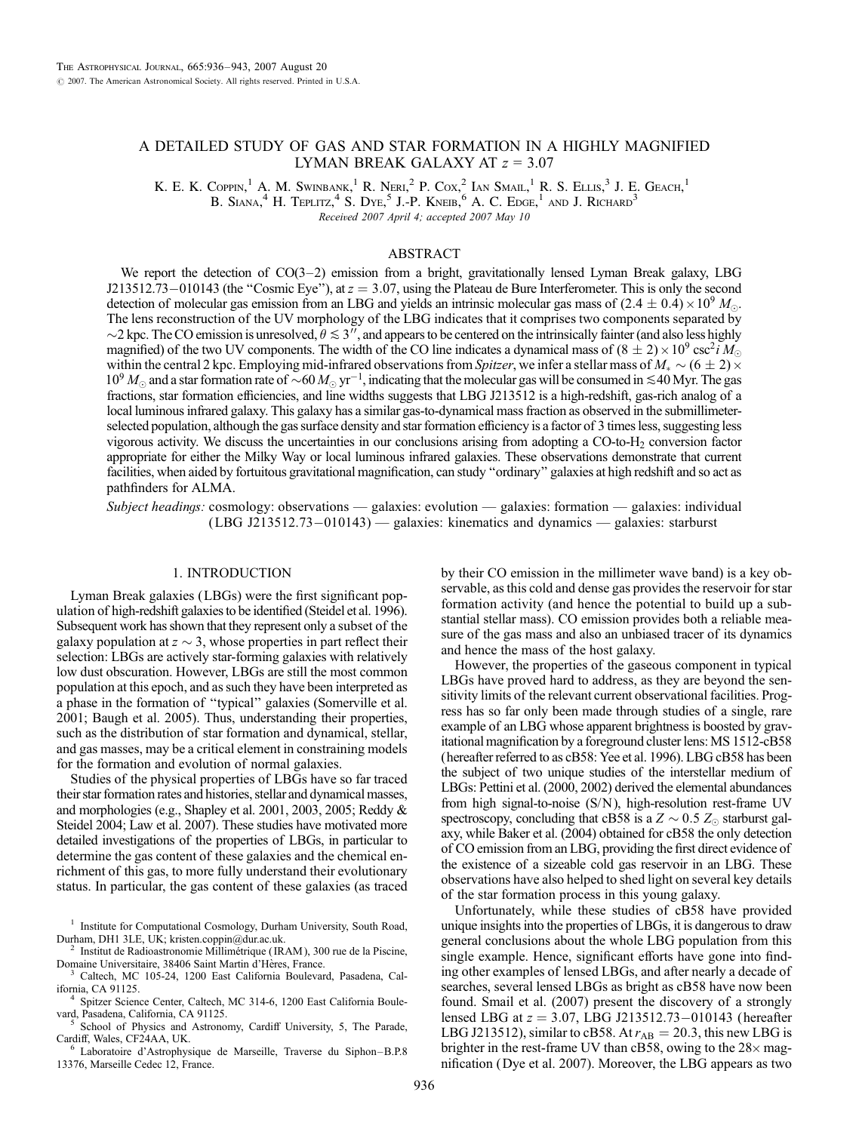## A DETAILED STUDY OF GAS AND STAR FORMATION IN A HIGHLY MAGNIFIED LYMAN BREAK GALAXY AT  $z = 3.07$

K. E. K. Coppin,<sup>1</sup> A. M. Swinbank,<sup>1</sup> R. Nerl<sup>2</sup> P. Cox,<sup>2</sup> Ian Smail,<sup>1</sup> R. S. Ellis,<sup>3</sup> J. E. Geach,<sup>1</sup>

B. SIANA,  $^4$  H. Teplitz,  $^4$  S. Dye,  $^5$  J.-P. Kneib,  $^6$  A. C. Edge,  $^1$  and J. Richard<sup>3</sup>

Received 2007 April 4; accepted 2007 May 10

# ABSTRACT

We report the detection of  $CO(3-2)$  emission from a bright, gravitationally lensed Lyman Break galaxy, LBG J213512.73–010143 (the "Cosmic Eye"), at  $z = 3.07$ , using the Plateau de Bure Interferometer. This is only the second detection of molecular gas emission from an LBG and yields an intrinsic molecular gas mass of  $(2.4 \pm 0.4) \times 10^9$   $M_{\odot}$ . The lens reconstruction of the UV morphology of the LBG indicates that it comprises two components separated by  $\sim$ 2 kpc. The CO emission is unresolved,  $\theta \le 3''$ , and appears to be centered on the intrinsically fainter (and also less highly magnified) of the two UV components. The width of the CO line indicates a dynamical mass of  $(8\pm2)\times10^9$  csc<sup>2</sup>i  $M_\odot$ within the central 2 kpc. Employing mid-infrared observations from Spitzer, we infer a stellar mass of  $M_*\sim$  (6  $\pm$  2)  $\times$  $10^9$   $M_\odot$  and a star formation rate of  $\sim 60$   $M_\odot$  yr<sup>-1</sup>, indicating that the molecular gas will be consumed in  $\leq 40$  Myr. The gas fractions, star formation efficiencies, and line widths suggests that LBG J213512 is a high-redshift, gas-rich analog of a local luminous infrared galaxy. This galaxy has a similar gas-to-dynamical mass fraction as observed in the submillimeterselected population, although the gas surface density and star formation efficiency is a factor of 3 times less, suggesting less vigorous activity. We discuss the uncertainties in our conclusions arising from adopting a CO-to-H2 conversion factor appropriate for either the Milky Way or local luminous infrared galaxies. These observations demonstrate that current facilities, when aided by fortuitous gravitational magnification, can study ''ordinary'' galaxies at high redshift and so act as pathfinders for ALMA.

Subject headings: cosmology: observations — galaxies: evolution — galaxies: formation — galaxies: individual (LBG J213512.73-010143) — galaxies: kinematics and dynamics — galaxies: starburst

## 1. INTRODUCTION

Lyman Break galaxies (LBGs) were the first significant population of high-redshift galaxies to be identified (Steidel et al. 1996). Subsequent work has shown that they represent only a subset of the galaxy population at  $z \sim 3$ , whose properties in part reflect their selection: LBGs are actively star-forming galaxies with relatively low dust obscuration. However, LBGs are still the most common population at this epoch, and as such they have been interpreted as a phase in the formation of ''typical'' galaxies (Somerville et al. 2001; Baugh et al. 2005). Thus, understanding their properties, such as the distribution of star formation and dynamical, stellar, and gas masses, may be a critical element in constraining models for the formation and evolution of normal galaxies.

Studies of the physical properties of LBGs have so far traced their star formation rates and histories, stellar and dynamical masses, and morphologies (e.g., Shapley et al. 2001, 2003, 2005; Reddy & Steidel 2004; Law et al. 2007). These studies have motivated more detailed investigations of the properties of LBGs, in particular to determine the gas content of these galaxies and the chemical enrichment of this gas, to more fully understand their evolutionary status. In particular, the gas content of these galaxies (as traced

Domaine Universitaire, 38406 Saint Martin d'Hères, France.<br><sup>3</sup> Caltech, MC 105-24, 1200 East California Boulevard, Pasadena, California, CA 91125.

<sup>4</sup> Spitzer Science Center, Caltech, MC 314-6, 1200 East California Boule-<br>vard, Pasadena, California, CA 91125.

School of Physics and Astronomy, Cardiff University, 5, The Parade, Cardiff, Wales, CF24AA, UK.<br><sup>6</sup> Laboratoire d'Astrophysique de Marseille, Traverse du Siphon-B.P.8

13376, Marseille Cedec 12, France.

by their CO emission in the millimeter wave band) is a key observable, as this cold and dense gas provides the reservoir for star formation activity (and hence the potential to build up a substantial stellar mass). CO emission provides both a reliable measure of the gas mass and also an unbiased tracer of its dynamics and hence the mass of the host galaxy.

However, the properties of the gaseous component in typical LBGs have proved hard to address, as they are beyond the sensitivity limits of the relevant current observational facilities. Progress has so far only been made through studies of a single, rare example of an LBG whose apparent brightness is boosted by gravitational magnification by a foreground cluster lens: MS 1512-cB58 (hereafter referred to as cB58: Yee et al. 1996). LBG cB58 has been the subject of two unique studies of the interstellar medium of LBGs: Pettini et al. (2000, 2002) derived the elemental abundances from high signal-to-noise (S/N), high-resolution rest-frame UV spectroscopy, concluding that cB58 is a  $Z \sim 0.5 Z_{\odot}$  starburst galaxy, while Baker et al. (2004) obtained for cB58 the only detection of CO emission from an LBG, providing the first direct evidence of the existence of a sizeable cold gas reservoir in an LBG. These observations have also helped to shed light on several key details of the star formation process in this young galaxy.

Unfortunately, while these studies of cB58 have provided unique insights into the properties of LBGs, it is dangerous to draw general conclusions about the whole LBG population from this single example. Hence, significant efforts have gone into finding other examples of lensed LBGs, and after nearly a decade of searches, several lensed LBGs as bright as cB58 have now been found. Smail et al. (2007) present the discovery of a strongly lensed LBG at  $z = 3.07$ , LBG J213512.73-010143 (hereafter LBG J213512), similar to cB58. At  $r_{AB} = 20.3$ , this new LBG is brighter in the rest-frame UV than cB58, owing to the  $28\times$  magnification (Dye et al. 2007). Moreover, the LBG appears as two

<sup>&</sup>lt;sup>1</sup> Institute for Computational Cosmology, Durham University, South Road, Durham, DH1 3LE, UK; kristen.coppin@dur.ac.uk.<br><sup>2</sup> Institut de Radioastronomie Millimétrique ( IRAM ), 300 rue de la Piscine,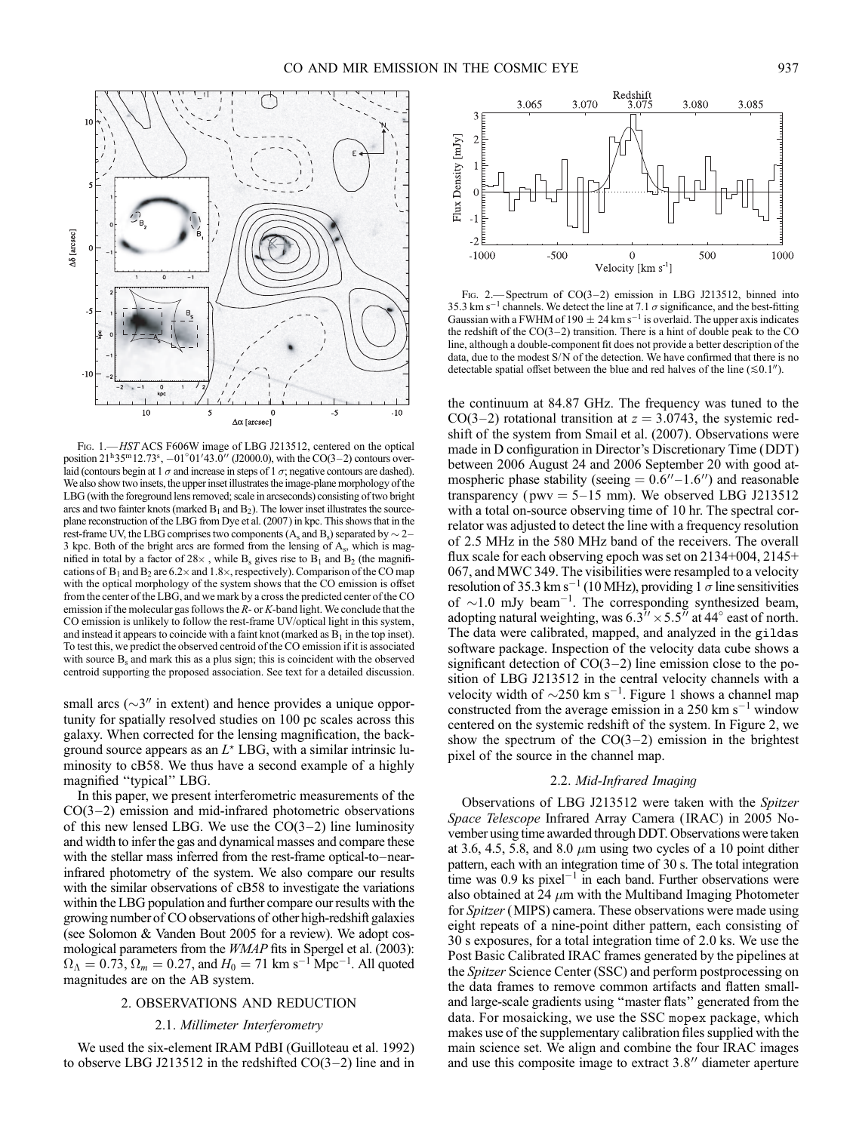

FIG. 1.-HST ACS F606W image of LBG J213512, centered on the optical position 21<sup>h</sup> 35<sup>m</sup> 12.73<sup>s</sup>,  $-01^{\circ}01'43.0''$  (J2000.0), with the CO(3-2) contours overlaid (contours begin at 1  $\sigma$  and increase in steps of 1  $\sigma$ ; negative contours are dashed). We also show two insets, the upper inset illustrates the image-plane morphology of the LBG (with the foreground lens removed; scale in arcseconds) consisting of two bright arcs and two fainter knots (marked  $B_1$  and  $B_2$ ). The lower inset illustrates the sourceplane reconstruction of the LBG from Dye et al. (2007) in kpc. This shows that in the rest-frame UV, the LBG comprises two components  $(A_s$  and  $B_s$ ) separated by  $\sim 2-$ 3 kpc. Both of the bright arcs are formed from the lensing of As, which is magnified in total by a factor of  $28\times$ , while B<sub>s</sub> gives rise to B<sub>1</sub> and B<sub>2</sub> (the magnifications of  $B_1$  and  $B_2$  are 6.2 $\times$  and 1.8 $\times$ , respectively). Comparison of the CO map with the optical morphology of the system shows that the CO emission is offset from the center of the LBG, and we mark by a cross the predicted center of the CO emission if the molecular gas follows the  $R$ - or  $K$ -band light. We conclude that the CO emission is unlikely to follow the rest-frame UV/optical light in this system, and instead it appears to coincide with a faint knot (marked as  $B_1$  in the top inset). To test this, we predict the observed centroid of the CO emission if it is associated with source  $B_s$  and mark this as a plus sign; this is coincident with the observed centroid supporting the proposed association. See text for a detailed discussion.

small arcs ( $\sim$ 3<sup>*u*</sup> in extent) and hence provides a unique opportunity for spatially resolved studies on 100 pc scales across this galaxy. When corrected for the lensing magnification, the background source appears as an  $L^*$  LBG, with a similar intrinsic luminosity to cB58. We thus have a second example of a highly magnified ''typical'' LBG.

In this paper, we present interferometric measurements of the  $CO(3-2)$  emission and mid-infrared photometric observations of this new lensed LBG. We use the  $CO(3-2)$  line luminosity and width to infer the gas and dynamical masses and compare these with the stellar mass inferred from the rest-frame optical-to-nearinfrared photometry of the system. We also compare our results with the similar observations of cB58 to investigate the variations within the LBG population and further compare our results with the growing number of CO observations of other high-redshift galaxies (see Solomon & Vanden Bout 2005 for a review). We adopt cosmological parameters from the WMAP fits in Spergel et al. (2003):  $\Omega_{\Lambda} = 0.73$ ,  $\Omega_m = 0.27$ , and  $H_0 = 71$  km s<sup>-1</sup> Mpc<sup>-1</sup>. All quoted magnitudes are on the AB system.

### 2. OBSERVATIONS AND REDUCTION

## 2.1. Millimeter Interferometry

We used the six-element IRAM PdBI (Guilloteau et al. 1992) to observe LBG J213512 in the redshifted  $CO(3-2)$  line and in



FIG. 2.—Spectrum of  $CO(3-2)$  emission in LBG J213512, binned into 35.3 km s<sup>-1</sup> channels. We detect the line at 7.1  $\sigma$  significance, and the best-fitting Gaussian with a FWHM of 190  $\pm$  24 km s<sup>-1</sup> is overlaid. The upper axis indicates the redshift of the  $CO(3-2)$  transition. There is a hint of double peak to the CO line, although a double-component fit does not provide a better description of the data, due to the modest S/N of the detection. We have confirmed that there is no detectable spatial offset between the blue and red halves of the line  $(\leq 0.1)$ .

the continuum at 84.87 GHz. The frequency was tuned to the CO(3-2) rotational transition at  $z = 3.0743$ , the systemic redshift of the system from Smail et al. (2007). Observations were made in D configuration in Director's Discretionary Time (DDT) between 2006 August 24 and 2006 September 20 with good atmospheric phase stability (seeing  $= 0.6'' - 1.6''$ ) and reasonable transparency ( $pwv = 5-15$  mm). We observed LBG J213512 with a total on-source observing time of 10 hr. The spectral correlator was adjusted to detect the line with a frequency resolution of 2.5 MHz in the 580 MHz band of the receivers. The overall flux scale for each observing epoch was set on 2134+004, 2145+ 067, and MWC 349. The visibilities were resampled to a velocity resolution of 35.3 km s<sup>-1</sup> (10 MHz), providing 1  $\sigma$  line sensitivities of  $\sim$ 1.0 mJy beam<sup>-1</sup>. The corresponding synthesized beam, adopting natural weighting, was  $6.3'' \times 5.5''$  at 44 $\degree$  east of north. The data were calibrated, mapped, and analyzed in the gildas software package. Inspection of the velocity data cube shows a significant detection of  $CO(3-2)$  line emission close to the position of LBG J213512 in the central velocity channels with a velocity width of  $\sim$ 250 km s<sup>-1</sup>. Figure 1 shows a channel map constructed from the average emission in a 250 km  $s^{-1}$  window centered on the systemic redshift of the system. In Figure 2, we show the spectrum of the  $CO(3-2)$  emission in the brightest pixel of the source in the channel map.

## 2.2. Mid-Infrared Imaging

Observations of LBG J213512 were taken with the Spitzer Space Telescope Infrared Array Camera ( IRAC) in 2005 November using time awarded through DDT. Observations were taken at 3.6, 4.5, 5.8, and 8.0  $\mu$ m using two cycles of a 10 point dither pattern, each with an integration time of 30 s. The total integration time was 0.9 ks pixel<sup>-1</sup> in each band. Further observations were also obtained at 24  $\mu$ m with the Multiband Imaging Photometer for *Spitzer* (MIPS) camera. These observations were made using eight repeats of a nine-point dither pattern, each consisting of 30 s exposures, for a total integration time of 2.0 ks. We use the Post Basic Calibrated IRAC frames generated by the pipelines at the Spitzer Science Center (SSC) and perform postprocessing on the data frames to remove common artifacts and flatten smalland large-scale gradients using ''master flats'' generated from the data. For mosaicking, we use the SSC mopex package, which makes use of the supplementary calibration files supplied with the main science set. We align and combine the four IRAC images and use this composite image to extract  $3.8$ <sup> $\prime\prime$ </sup> diameter aperture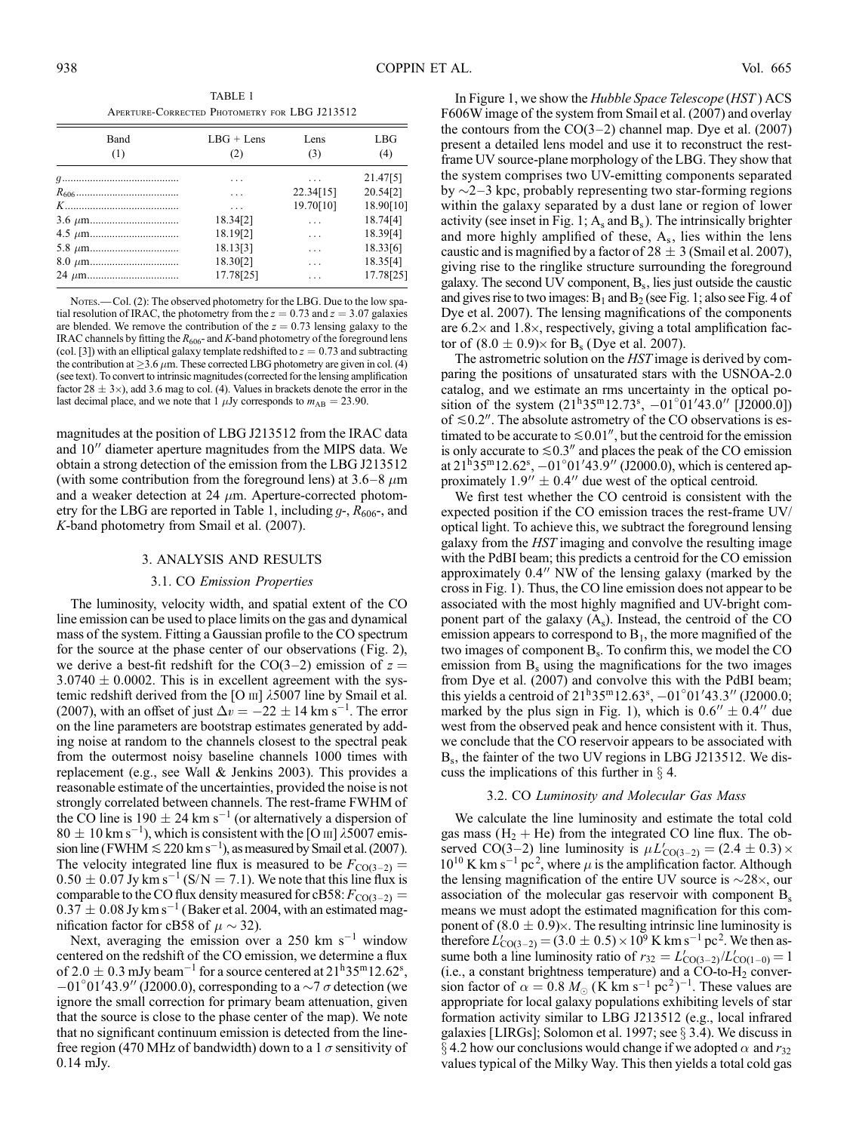TABLE 1 Aperture-Corrected Photometry for LBG J213512

| Band | $LBG + Lens$ | Lens           | LBG                  |
|------|--------------|----------------|----------------------|
| (1)  | (2)          | (3)            | (4)                  |
|      | .            | .<br>22.34[15] | 21.47[5]<br>20.54[2] |
|      | .<br>.       | 19.70[10]      | 18.90[10]            |
|      | 18.34[2]     | .              | 18.74[4]             |
|      | 18.19[2]     | .              | 18.39[4]             |
|      | 18.13[3]     | .              | 18.33[6]             |
|      | 18.30[2]     | .              | 18.35[4]             |
|      | 17.78[25]    | .              | 17.78[25]            |

Notes.- Col. (2): The observed photometry for the LBG. Due to the low spatial resolution of IRAC, the photometry from the  $z = 0.73$  and  $z = 3.07$  galaxies are blended. We remove the contribution of the  $z = 0.73$  lensing galaxy to the IRAC channels by fitting the  $R_{606}$ - and K-band photometry of the foreground lens (col. [3]) with an elliptical galaxy template redshifted to  $z = 0.73$  and subtracting the contribution at  $\geq$ 3.6  $\mu$ m. These corrected LBG photometry are given in col. (4) (see text). To convert to intrinsic magnitudes (corrected for the lensing amplification factor 28  $\pm$  3 $\times$ ), add 3.6 mag to col. (4). Values in brackets denote the error in the last decimal place, and we note that 1  $\mu$ Jy corresponds to  $m_{AB} = 23.90$ .

magnitudes at the position of LBG J213512 from the IRAC data and  $10^{\prime\prime}$  diameter aperture magnitudes from the MIPS data. We obtain a strong detection of the emission from the LBG J213512 (with some contribution from the foreground lens) at  $3.6-8 \mu m$ and a weaker detection at 24  $\mu$ m. Aperture-corrected photometry for the LBG are reported in Table 1, including  $g$ -,  $R_{606}$ -, and K-band photometry from Smail et al. (2007).

### 3. ANALYSIS AND RESULTS

### 3.1. CO Emission Properties

The luminosity, velocity width, and spatial extent of the CO line emission can be used to place limits on the gas and dynamical mass of the system. Fitting a Gaussian profile to the CO spectrum for the source at the phase center of our observations (Fig. 2), we derive a best-fit redshift for the CO(3-2) emission of  $z =$  $3.0740 \pm 0.0002$ . This is in excellent agreement with the systemic redshift derived from the [O  $\text{III}$ ]  $\lambda$ 5007 line by Smail et al. (2007), with an offset of just  $\Delta v = -22 \pm 14$  km s<sup>-1</sup>. The error on the line parameters are bootstrap estimates generated by adding noise at random to the channels closest to the spectral peak from the outermost noisy baseline channels 1000 times with replacement (e.g., see Wall & Jenkins 2003). This provides a reasonable estimate of the uncertainties, provided the noise is not strongly correlated between channels. The rest-frame FWHM of the CO line is 190  $\pm$  24 km s<sup>-1</sup> (or alternatively a dispersion of  $80 \pm 10$  km s<sup>-1</sup>), which is consistent with the [O  $\text{III}$ ]  $\lambda$ 5007 emission line (FWHM  $\leq 220 \text{ km s}^{-1}$ ), as measured by Smail et al. (2007). The velocity integrated line flux is measured to be  $F_{CO(3-2)} =$  $0.50 \pm 0.07$  Jy km s<sup>-1</sup> (S/N = 7.1). We note that this line flux is comparable to the CO flux density measured for cB58:  $F_{CO(3-2)} =$  $0.37 \pm 0.08$  Jy km s<sup>-1</sup> (Baker et al. 2004, with an estimated magnification factor for cB58 of  $\mu \sim$  32).

Next, averaging the emission over a 250 km  $s^{-1}$  window centered on the redshift of the CO emission, we determine a flux of 2.0  $\pm$  0.3 mJy beam<sup>-1</sup> for a source centered at 21<sup>h</sup>35<sup>m</sup>12.62<sup>s</sup>,  $-01^{\circ}01'$ 43.9" (J2000.0), corresponding to a  $\sim$  7  $\sigma$  detection (we ignore the small correction for primary beam attenuation, given that the source is close to the phase center of the map). We note that no significant continuum emission is detected from the linefree region (470 MHz of bandwidth) down to a 1  $\sigma$  sensitivity of 0.14 mJy.

In Figure 1, we show the Hubble Space Telescope (HST ) ACS F606W image of the system from Smail et al. (2007) and overlay the contours from the  $CO(3-2)$  channel map. Dye et al. (2007) present a detailed lens model and use it to reconstruct the restframe UV source-plane morphology of the LBG. They show that the system comprises two UV-emitting components separated by  $\sim$ 2 $-3$  kpc, probably representing two star-forming regions within the galaxy separated by a dust lane or region of lower activity (see inset in Fig. 1;  $A_s$  and  $B_s$ ). The intrinsically brighter and more highly amplified of these,  $A_s$ , lies within the lens caustic and is magnified by a factor of 28  $\pm$  3 (Smail et al. 2007), giving rise to the ringlike structure surrounding the foreground galaxy. The second UV component,  $B_s$ , lies just outside the caustic and gives rise to two images:  $B_1$  and  $B_2$  (see Fig. 1; also see Fig. 4 of Dye et al. 2007). The lensing magnifications of the components are  $6.2\times$  and  $1.8\times$ , respectively, giving a total amplification factor of  $(8.0 \pm 0.9) \times$  for B<sub>s</sub> (Dye et al. 2007).

The astrometric solution on the *HST* image is derived by comparing the positions of unsaturated stars with the USNOA-2.0 catalog, and we estimate an rms uncertainty in the optical position of the system  $(21^{\text{h}}35^{\text{m}}12.73^{\text{s}}, -01^{\circ}01'43.0''$  [J2000.0]) of  $\leq 0.2$ ". The absolute astrometry of the CO observations is estimated to be accurate to  $\leq 0.01$ <sup>n</sup>, but the centroid for the emission is only accurate to  $\leq 0.3$ <sup>n</sup> and places the peak of the CO emission at  $21^{\text{h}}35^{\text{m}}12.62^{\text{s}}$ ,  $-01^{\circ}01'43.9''$  (J2000.0), which is centered approximately  $1.9'' \pm 0.4''$  due west of the optical centroid.

We first test whether the CO centroid is consistent with the expected position if the CO emission traces the rest-frame UV/ optical light. To achieve this, we subtract the foreground lensing galaxy from the HST imaging and convolve the resulting image with the PdBI beam; this predicts a centroid for the CO emission approximately  $0.4$ <sup>"</sup> NW of the lensing galaxy (marked by the cross in Fig. 1). Thus, the CO line emission does not appear to be associated with the most highly magnified and UV-bright component part of the galaxy  $(A_s)$ . Instead, the centroid of the CO emission appears to correspond to  $B_1$ , the more magnified of the two images of component B<sub>s</sub>. To confirm this, we model the CO emission from  $B_s$  using the magnifications for the two images from Dye et al. (2007) and convolve this with the PdBI beam; this yields a centroid of  $21^{\text{h}}35^{\text{m}}12.63^{\text{s}}$ ,  $-01^{\circ}01'43.3''$  (J2000.0; marked by the plus sign in Fig. 1), which is  $0.6'' \pm 0.4''$  due west from the observed peak and hence consistent with it. Thus, we conclude that the CO reservoir appears to be associated with  $B_s$ , the fainter of the two UV regions in LBG J213512. We discuss the implications of this further in  $\S$  4.

### 3.2. CO Luminosity and Molecular Gas Mass

We calculate the line luminosity and estimate the total cold gas mass  $(H_2 + He)$  from the integrated CO line flux. The observed CO(3–2) line luminosity is  $\mu L'_{\text{CO(3--2)}} = (2.4 \pm 0.3) \times$  $10^{10}$  K km s<sup>-1</sup> pc<sup>2</sup>, where  $\mu$  is the amplification factor. Although the lensing magnification of the entire UV source is  $\sim$ 28 $\times$ , our association of the molecular gas reservoir with component  $B_s$ means we must adopt the estimated magnification for this component of  $(8.0 \pm 0.9) \times$ . The resulting intrinsic line luminosity is therefore  $L'_{\rm CO(3-2)}$   $=$   $(3.0 \pm 0.5) \times 10^9$  K km s<sup>-1</sup> pc<sup>2</sup>. We then assume both a line luminosity ratio of  $r_{32} = L'_{\text{CO}(3-2)}/L'_{\text{CO}(1-0)} = 1$ (i.e., a constant brightness temperature) and a  $CO$ -to- $H_2$  conversion factor of  $\alpha = 0.8 M_{\odot}$  (K km s<sup>-1</sup> pc<sup>2</sup>)<sup>-1</sup>. These values are appropriate for local galaxy populations exhibiting levels of star formation activity similar to LBG J213512 (e.g., local infrared galaxies [LIRGs]; Solomon et al. 1997; see  $\S 3.4$ ). We discuss in § 4.2 how our conclusions would change if we adopted  $\alpha$  and  $r_{32}$ values typical of the Milky Way. This then yields a total cold gas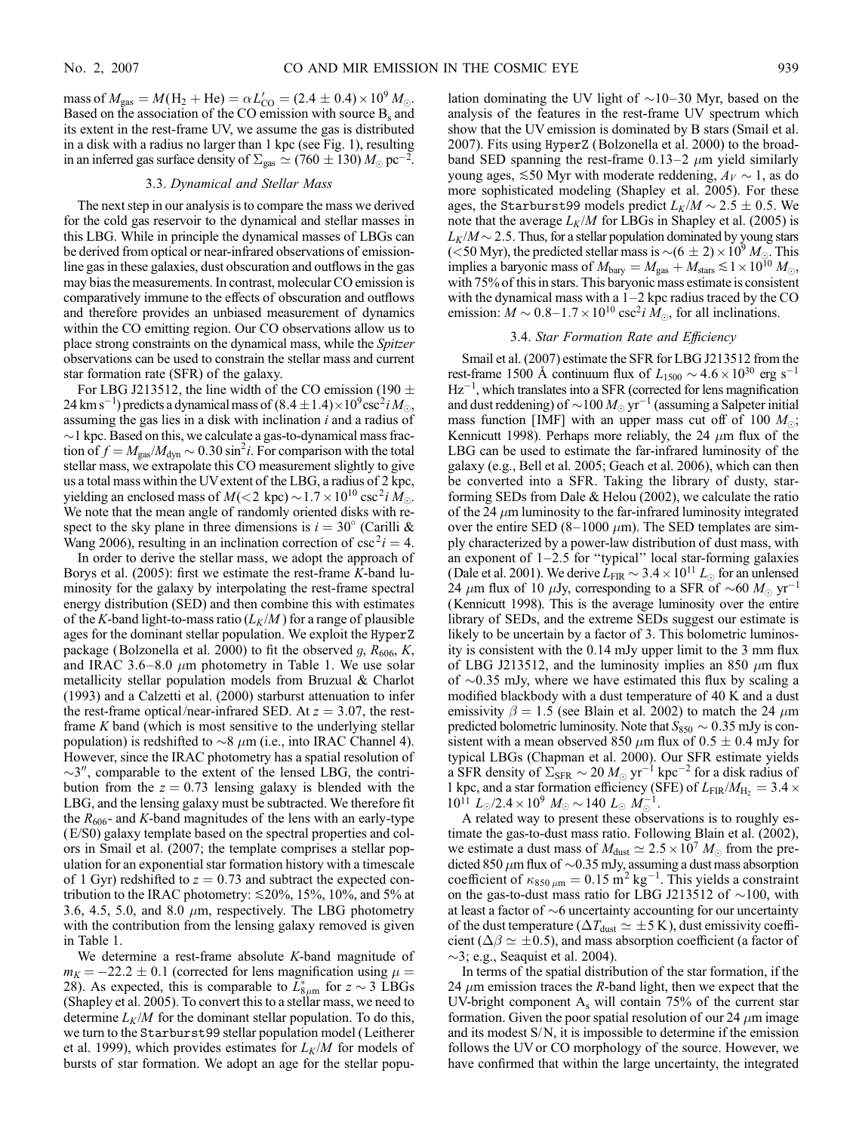mass of  $M_{\rm gas} = M(\rm H_2 + He) = \alpha L'_{\rm CO} = (2.4 \pm 0.4) \times 10^9 M_{\odot}$ . Based on the association of the CO emission with source  $B_s$  and its extent in the rest-frame UV, we assume the gas is distributed in a disk with a radius no larger than 1 kpc (see Fig. 1), resulting in an inferred gas surface density of  $\Sigma_{\rm gas} \simeq (760 \pm 130) M_{\odot} \,{\rm pc}^{-2}$ .

## 3.3. Dynamical and Stellar Mass

The next step in our analysis is to compare the mass we derived for the cold gas reservoir to the dynamical and stellar masses in this LBG. While in principle the dynamical masses of LBGs can be derived from optical or near-infrared observations of emissionline gas in these galaxies, dust obscuration and outflows in the gas may bias the measurements. In contrast, molecular CO emission is comparatively immune to the effects of obscuration and outflows and therefore provides an unbiased measurement of dynamics within the CO emitting region. Our CO observations allow us to place strong constraints on the dynamical mass, while the Spitzer observations can be used to constrain the stellar mass and current star formation rate (SFR) of the galaxy.

For LBG J213512, the line width of the CO emission (190  $\pm$ 24 km s $^{-1})$  predicts a dynamical mass of  $(8.4\pm1.4)\times10^9$ csc $^2$ i  $M_\odot,$ assuming the gas lies in a disk with inclination  $i$  and a radius of  $\sim$ 1 kpc. Based on this, we calculate a gas-to-dynamical mass fraction of  $f = M_{\text{gas}}/M_{\text{dyn}} \sim 0.30 \sin^2 i$ . For comparison with the total stellar mass, we extrapolate this CO measurement slightly to give us a total mass within the UVextent of the LBG, a radius of 2 kpc, yielding an enclosed mass of  $M(<2 \text{ kpc}) \sim 1.7 \times 10^{10} \text{ csc}^2 i M_{\odot}$ . We note that the mean angle of randomly oriented disks with respect to the sky plane in three dimensions is  $i = 30^{\circ}$  (Carilli & Wang 2006), resulting in an inclination correction of  $\csc^2 i = 4$ .

In order to derive the stellar mass, we adopt the approach of Borys et al. (2005): first we estimate the rest-frame K-band luminosity for the galaxy by interpolating the rest-frame spectral energy distribution (SED) and then combine this with estimates of the K-band light-to-mass ratio  $(L_K/M)$  for a range of plausible ages for the dominant stellar population. We exploit the HyperZ package (Bolzonella et al. 2000) to fit the observed g,  $R_{606}$ , K, and IRAC 3.6-8.0  $\mu$ m photometry in Table 1. We use solar metallicity stellar population models from Bruzual & Charlot (1993) and a Calzetti et al. (2000) starburst attenuation to infer the rest-frame optical/near-infrared SED. At  $z = 3.07$ , the restframe  $K$  band (which is most sensitive to the underlying stellar population) is redshifted to  $\sim 8 \mu m$  (i.e., into IRAC Channel 4). However, since the IRAC photometry has a spatial resolution of  $\sim$ 3", comparable to the extent of the lensed LBG, the contribution from the  $z = 0.73$  lensing galaxy is blended with the LBG, and the lensing galaxy must be subtracted. We therefore fit the  $R_{606}$ - and K-band magnitudes of the lens with an early-type (E/S0) galaxy template based on the spectral properties and colors in Smail et al. (2007; the template comprises a stellar population for an exponential star formation history with a timescale of 1 Gyr) redshifted to  $z = 0.73$  and subtract the expected contribution to the IRAC photometry:  $\leq 20\%$ , 15%, 10%, and 5% at 3.6, 4.5, 5.0, and 8.0  $\mu$ m, respectively. The LBG photometry with the contribution from the lensing galaxy removed is given in Table 1.

We determine a rest-frame absolute K-band magnitude of  $m_K = -22.2 \pm 0.1$  (corrected for lens magnification using  $\mu =$ 28). As expected, this is comparable to  $\overline{L}_{8\mu m}^{*}$  for  $z \sim 3$  LBGs (Shapley et al. 2005). To convert this to a stellar mass, we need to determine  $L_K/M$  for the dominant stellar population. To do this, we turn to the Starburst99 stellar population model (Leitherer et al. 1999), which provides estimates for  $L_K/M$  for models of bursts of star formation. We adopt an age for the stellar popu-

lation dominating the UV light of  $\sim$ 10-30 Myr, based on the analysis of the features in the rest-frame UV spectrum which show that the UV emission is dominated by B stars (Smail et al. 2007). Fits using HyperZ (Bolzonella et al. 2000) to the broadband SED spanning the rest-frame  $0.13-2 \mu m$  yield similarly young ages,  $\leq 50$  Myr with moderate reddening,  $A_V \sim 1$ , as do more sophisticated modeling (Shapley et al. 2005). For these ages, the Starburst99 models predict  $L_K/M \sim 2.5\pm0.5.$  We note that the average  $L_K/M$  for LBGs in Shapley et al. (2005) is  $L_K/M \sim 2.5$ . Thus, for a stellar population dominated by young stars (<50 Myr), the predicted stellar mass is  $\sim$  (6  $\pm$  2)  $\times 10^9$   $M_{\odot}$ . This implies a baryonic mass of  $M_{\text{bary}} = M_{\text{gas}} + M_{\text{stars}} \lesssim 1 \times 10^{10} M_{\odot}$ , with 75% of this in stars. This baryonic mass estimate is consistent with the dynamical mass with a  $1-2$  kpc radius traced by the CO emission:  $M \sim 0.8-1.7 \times 10^{10} \csc^2 i \tilde{M}_{\odot}$ , for all inclinations.

## 3.4. Star Formation Rate and Efficiency

Smail et al. (2007) estimate the SFR for LBG J213512 from the rest-frame 1500 Å continuum flux of  $L_{1500} \sim 4.6 \times 10^{30}$  erg s<sup>-1</sup>  $Hz^{-1}$ , which translates into a SFR (corrected for lens magnification and dust reddening) of  $\sim$ 100  $M_{\odot}$  yr<sup>-1</sup> (assuming a Salpeter initial mass function [IMF] with an upper mass cut off of 100  $M_{\odot}$ ; Kennicutt 1998). Perhaps more reliably, the 24  $\mu$ m flux of the LBG can be used to estimate the far-infrared luminosity of the galaxy (e.g., Bell et al. 2005; Geach et al. 2006), which can then be converted into a SFR. Taking the library of dusty, starforming SEDs from Dale & Helou (2002), we calculate the ratio of the 24  $\mu$ m luminosity to the far-infrared luminosity integrated over the entire SED (8-1000  $\mu$ m). The SED templates are simply characterized by a power-law distribution of dust mass, with an exponent of  $1-2.5$  for "typical" local star-forming galaxies (Dale et al. 2001). We derive  $L_{\rm FIR} \sim 3.4 \times 10^{11} L_{\odot}$  for an unlensed 24  $\mu$ m flux of 10  $\mu$ Jy, corresponding to a SFR of  $\sim$ 60  $M_{\odot}$  yr<sup>-1</sup> (Kennicutt 1998). This is the average luminosity over the entire library of SEDs, and the extreme SEDs suggest our estimate is likely to be uncertain by a factor of 3. This bolometric luminosity is consistent with the 0.14 mJy upper limit to the 3 mm flux of LBG J213512, and the luminosity implies an 850  $\mu$ m flux of  $\sim$ 0.35 mJy, where we have estimated this flux by scaling a modified blackbody with a dust temperature of 40 K and a dust emissivity  $\beta = 1.5$  (see Blain et al. 2002) to match the 24  $\mu$ m predicted bolometric luminosity. Note that  $S_{850} \sim 0.35$  mJy is consistent with a mean observed 850  $\mu$ m flux of 0.5  $\pm$  0.4 mJy for typical LBGs (Chapman et al. 2000). Our SFR estimate yields a SFR density of  $\Sigma_{\rm SFR} \sim 20 M_{\odot} \text{ yr}^{-1} \text{ kpc}^{-2}$  for a disk radius of 1 kpc, and a star formation efficiency (SFE) of  $L_{\text{FIR}}/M_{\text{H}_2} = 3.4 \times$  $10^{11} L_{\odot}/2.4 \times 10^9 M_{\odot} \sim 140 L_{\odot} M_{\odot}^{-1}.$ 

A related way to present these observations is to roughly estimate the gas-to-dust mass ratio. Following Blain et al. (2002), we estimate a dust mass of  $M_{\text{dust}} \simeq 2.5 \times 10^7 M_{\odot}$  from the predicted 850  $\mu$ m flux of  $\sim$ 0.35 mJy, assuming a dust mass absorption coefficient of  $\kappa_{850 \mu m} = 0.15 \text{ m}^2 \text{ kg}^{-1}$ . This yields a constraint on the gas-to-dust mass ratio for LBG J213512 of  $\sim$ 100, with at least a factor of  $\sim$ 6 uncertainty accounting for our uncertainty of the dust temperature ( $\Delta T_{\rm dust} \simeq \pm 5$  K), dust emissivity coefficient ( $\Delta \beta \simeq \pm 0.5$ ), and mass absorption coefficient (a factor of  $\sim$ 3; e.g., Seaquist et al. 2004).

In terms of the spatial distribution of the star formation, if the 24  $\mu$ m emission traces the R-band light, then we expect that the UV-bright component  $A_s$  will contain 75% of the current star formation. Given the poor spatial resolution of our 24  $\mu$ m image and its modest S/N, it is impossible to determine if the emission follows the UV or CO morphology of the source. However, we have confirmed that within the large uncertainty, the integrated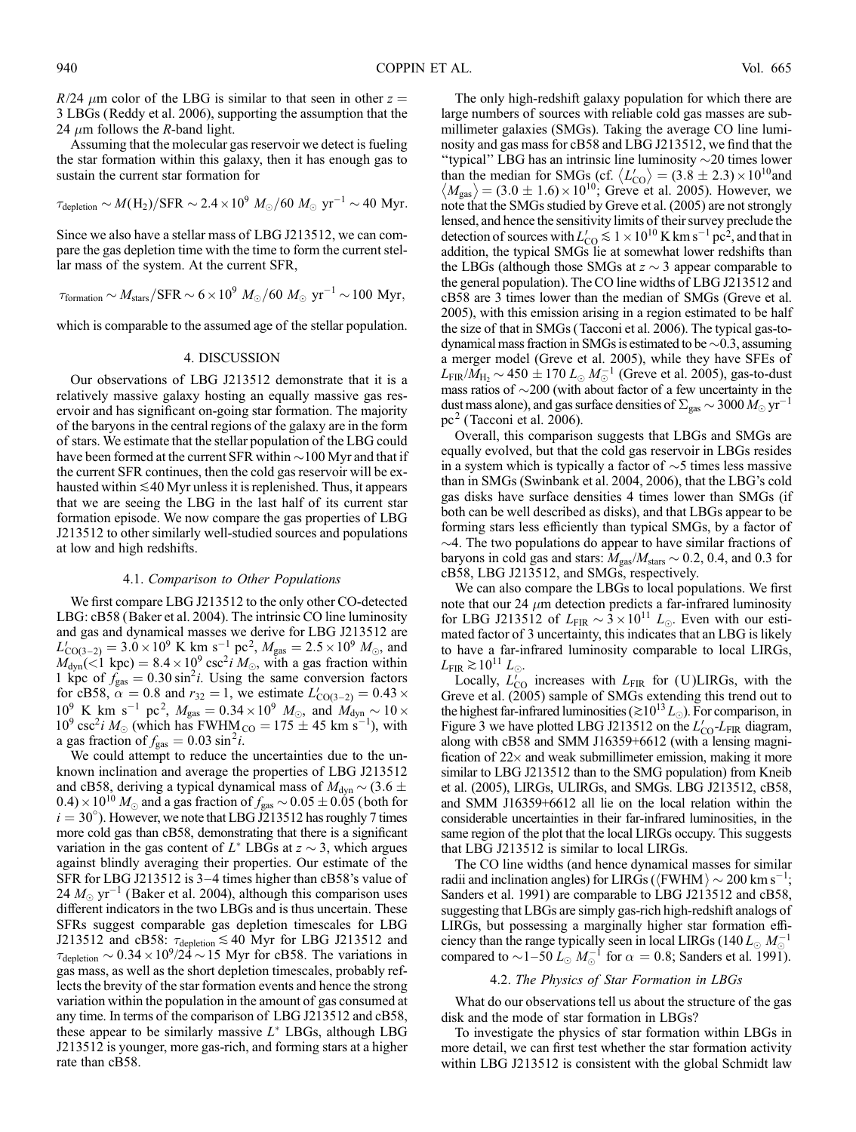$R/24$  µm color of the LBG is similar to that seen in other  $z =$ 3 LBGs (Reddy et al. 2006), supporting the assumption that the 24  $\mu$ m follows the *R*-band light.

Assuming that the molecular gas reservoir we detect is fueling the star formation within this galaxy, then it has enough gas to sustain the current star formation for

$$
\tau_{\text{depletion}} \sim M(\text{H}_2)/\text{SFR} \sim 2.4 \times 10^9 \ M_{\odot}/60 \ M_{\odot} \ \text{yr}^{-1} \sim 40 \ \text{Myr}.
$$

Since we also have a stellar mass of LBG J213512, we can compare the gas depletion time with the time to form the current stellar mass of the system. At the current SFR,

 $\tau_{\rm formation}\sim M_{\rm stars}/{\rm SFR}\sim 6\times 10^9\ M_\odot/60\ M_\odot\ {\rm yr}^{-1}\sim 100\ {\rm Myr},$ 

which is comparable to the assumed age of the stellar population.

## 4. DISCUSSION

Our observations of LBG J213512 demonstrate that it is a relatively massive galaxy hosting an equally massive gas reservoir and has significant on-going star formation. The majority of the baryons in the central regions of the galaxy are in the form of stars. We estimate that the stellar population of the LBG could have been formed at the current SFR within  $\sim$ 100 Myr and that if the current SFR continues, then the cold gas reservoir will be exhausted within  $\leq 40$  Myr unless it is replenished. Thus, it appears that we are seeing the LBG in the last half of its current star formation episode. We now compare the gas properties of LBG J213512 to other similarly well-studied sources and populations at low and high redshifts.

#### 4.1. Comparison to Other Populations

We first compare LBG J213512 to the only other CO-detected LBG: cB58 (Baker et al. 2004). The intrinsic CO line luminosity and gas and dynamical masses we derive for LBG J213512 are  $L'_{\text{CO}(3-2)} = 3.0 \times 10^9 \text{ K km s}^{-1} \text{ pc}^2, M_{\text{gas}} = 2.5 \times 10^9 M_{\odot}$ , and  $M_{\text{dyn}}(<1 \text{ kpc}) = 8.4 \times 10^9 \text{ csc}^2 i M_{\odot}$ , with a gas fraction within 1 kpc of  $f_{\text{gas}} = 0.30 \sin^2 i$ . Using the same conversion factors for cB58,  $\alpha = 0.8$  and  $r_{32} = 1$ , we estimate  $L'_{\text{CO(3-2)}} = 0.43 \times$  $10^{9}$  K km s<sup>-1</sup> pc<sup>2</sup>,  $M_{\text{gas}} = 0.34 \times 10^{9}$   $M_{\odot}$ , and  $M_{\text{dyn}} \sim 10 \times$  $10^9 \csc^2 i M_{\odot}$  (which has FWHM<sub>CO</sub> = 175  $\pm$  45 km s<sup>-1</sup>), with a gas fraction of  $f_{\text{gas}} = 0.03 \sin^2 i$ .

We could attempt to reduce the uncertainties due to the unknown inclination and average the properties of LBG J213512 and cB58, deriving a typical dynamical mass of  $M_{\text{dyn}}$   $\sim$  (3.6  $\pm$  $(0.4)\times 10^{10}\,M_\odot$  and a gas fraction of  $f_{\rm gas}\sim 0.05\pm 0.05$  (both for  $i = 30^{\circ}$ ). However, we note that LBG J213512 has roughly 7 times more cold gas than cB58, demonstrating that there is a significant variation in the gas content of  $L^*$  LBGs at  $z \sim 3$ , which argues against blindly averaging their properties. Our estimate of the SFR for LBG J213512 is  $3-4$  times higher than cB58's value of 24  $M_{\odot}$  yr<sup>-1</sup> (Baker et al. 2004), although this comparison uses different indicators in the two LBGs and is thus uncertain. These SFRs suggest comparable gas depletion timescales for LBG J213512 and cB58:  $\tau_{\text{depletion}} \leq 40$  Myr for LBG J213512 and  $\tau_{\text{depletion}} \sim 0.34 \times 10^9 / 24 \sim 15$  Myr for cB58. The variations in gas mass, as well as the short depletion timescales, probably reflects the brevity of the star formation events and hence the strong variation within the population in the amount of gas consumed at any time. In terms of the comparison of LBG J213512 and cB58, these appear to be similarly massive  $L^*$  LBGs, although LBG J213512 is younger, more gas-rich, and forming stars at a higher rate than cB58.

The only high-redshift galaxy population for which there are large numbers of sources with reliable cold gas masses are submillimeter galaxies (SMGs). Taking the average CO line luminosity and gas mass for cB58 and LBG J213512, we find that the "typical" LBG has an intrinsic line luminosity  $\sim$  20 times lower typical EBO has an intimiste line runnlosity  $\approx$  20 times lower<br>than the median for SMGs (cf.  $\langle L'_{\text{CO}} \rangle = (3.8 \pm 2.3) \times 10^{10}$  and  $\langle M_{\text{gas}}\rangle = (3.0 \pm 1.6) \times 10^{10}$ ; Greve et al. 2005). However, we note that the SMGs studied by Greve et al. (2005) are not strongly lensed, and hence the sensitivity limits of their survey preclude the detection of sources with  $L'_{\rm CO} \lesssim 1 \times 10^{10} \, {\rm K \, km \, s^{-1} \, pc^2}$ , and that in addition, the typical SMGs lie at somewhat lower redshifts than the LBGs (although those SMGs at  $z \sim 3$  appear comparable to the general population). The CO line widths of LBG J213512 and cB58 are 3 times lower than the median of SMGs (Greve et al. 2005), with this emission arising in a region estimated to be half the size of that in SMGs (Tacconi et al. 2006). The typical gas-todynamical mass fraction in SMGs is estimated to be  $\sim$ 0.3, assuming a merger model (Greve et al. 2005), while they have SFEs of  $L_{\rm FIR}/\dot{M}_{\rm H_2}$   $\sim$  450  $\pm$  170  $L_{\odot}\,M_{\odot}^{-1}$  (Greve et al. 2005), gas-to-dust mass ratios of  $\sim$ 200 (with about factor of a few uncertainty in the dust mass alone), and gas surface densities of  $\Sigma_{\rm gas} \sim 3000 \, M_\odot \, {\rm yr}^{-1}$  $pc<sup>2</sup>$  (Tacconi et al. 2006).

Overall, this comparison suggests that LBGs and SMGs are equally evolved, but that the cold gas reservoir in LBGs resides in a system which is typically a factor of  $\sim$ 5 times less massive than in SMGs (Swinbank et al. 2004, 2006), that the LBG's cold gas disks have surface densities 4 times lower than SMGs (if both can be well described as disks), and that LBGs appear to be forming stars less efficiently than typical SMGs, by a factor of  $\sim$ 4. The two populations do appear to have similar fractions of baryons in cold gas and stars:  $M_{\text{gas}}/M_{\text{stars}} \sim 0.2$ , 0.4, and 0.3 for cB58, LBG J213512, and SMGs, respectively.

We can also compare the LBGs to local populations. We first note that our 24  $\mu$ m detection predicts a far-infrared luminosity for LBG J213512 of  $L_{\text{FIR}} \sim 3 \times 10^{11} L_{\odot}$ . Even with our estimated factor of 3 uncertainty, this indicates that an LBG is likely to have a far-infrared luminosity comparable to local LIRGs,  $L_{\text{FIR}} \gtrsim 10^{11} L_{\odot}$ .

Locally,  $L_{\text{CO}}^{6}$  increases with  $L_{\text{FIR}}$  for (U)LIRGs, with the Greve et al.  $(2005)$  sample of SMGs extending this trend out to the highest far-infrared luminosities ( $\gtrsim 10^{13} L_{\odot}$ ). For comparison, in Figure 3 we have plotted LBG J213512 on the  $L'_{\text{CO}}$ - $L_{\text{FIR}}$  diagram, along with cB58 and SMM J16359+6612 (with a lensing magnification of  $22\times$  and weak submillimeter emission, making it more similar to LBG J213512 than to the SMG population) from Kneib et al. (2005), LIRGs, ULIRGs, and SMGs. LBG J213512, cB58, and SMM J16359+6612 all lie on the local relation within the considerable uncertainties in their far-infrared luminosities, in the same region of the plot that the local LIRGs occupy. This suggests that LBG J213512 is similar to local LIRGs.

The CO line widths (and hence dynamical masses for similar radii and inclination angles) for LIRGs ( $\langle {\rm FWHM}\rangle$   $\sim$  200 km s $^{-1}$ ; Sanders et al. 1991) are comparable to LBG J213512 and cB58, suggesting that LBGs are simply gas-rich high-redshift analogs of LIRGs, but possessing a marginally higher star formation efficiency than the range typically seen in local LIRGs (140  $L_{\odot}$   $M_{\odot}^{-1}$ compared to  $\sim$ 1-50  $L_{\odot}$   $M_{\odot}^{-1}$  for  $\alpha = 0.8$ ; Sanders et al. 1991).

## 4.2. The Physics of Star Formation in LBGs

What do our observations tell us about the structure of the gas disk and the mode of star formation in LBGs?

To investigate the physics of star formation within LBGs in more detail, we can first test whether the star formation activity within LBG J213512 is consistent with the global Schmidt law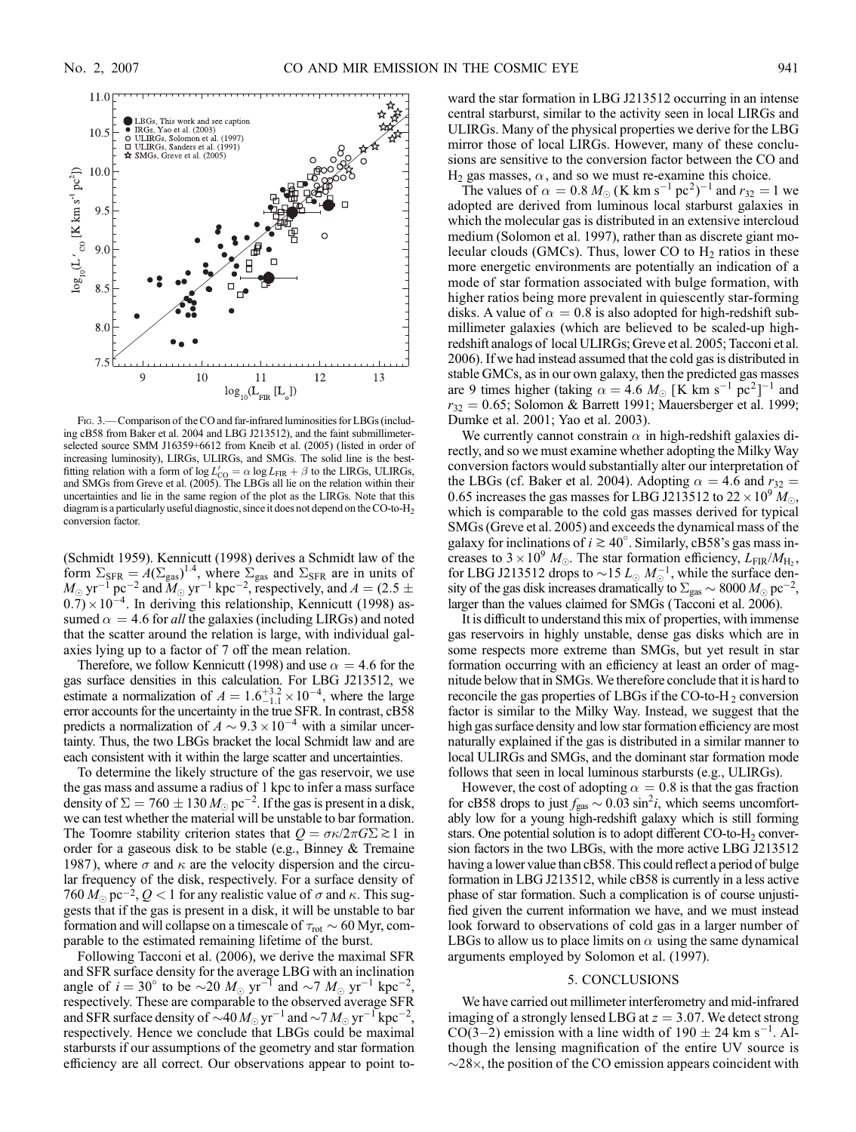

FIG. 3. - Comparison of the CO and far-infrared luminosities for LBGs (including cB58 from Baker et al. 2004 and LBG J213512), and the faint submillimeterselected source SMM J16359+6612 from Kneib et al. (2005) (listed in order of increasing luminosity), LIRGs, ULIRGs, and SMGs. The solid line is the bestfitting relation with a form of  $\log L'_{\text{CO}} = \alpha \log L_{\text{FIR}} + \beta$  to the LIRGs, ULIRGs, and SMGs from Greve et al. (2005). The LBGs all lie on the relation within their uncertainties and lie in the same region of the plot as the LIRGs. Note that this diagram is a particularly useful diagnostic, since it does not depend on the CO-to-H2 conversion factor.

(Schmidt 1959). Kennicutt (1998) derives a Schmidt law of the form  $\Sigma_{\rm SFR} = A(\Sigma_{\rm gas})^{1.4}$ , where  $\Sigma_{\rm gas}$  and  $\Sigma_{\rm SFR}$  are in units of  $M_{\odot}$  yr<sup>-1</sup> pc<sup>-2</sup> and  $M_{\odot}$  yr<sup>-1</sup> kpc<sup>-2</sup>, respectively, and  $A = (2.5 \pm 1)$  $(0.7) \times 10^{-4}$ . In deriving this relationship, Kennicutt (1998) assumed  $\alpha = 4.6$  for *all* the galaxies (including LIRGs) and noted that the scatter around the relation is large, with individual galaxies lying up to a factor of 7 off the mean relation.

Therefore, we follow Kennicutt (1998) and use  $\alpha = 4.6$  for the gas surface densities in this calculation. For LBG J213512, we estimate a normalization of  $A = 1.6^{+3.2}_{-1.1} \times 10^{-4}$ , where the large error accounts for the uncertainty in the true SFR. In contrast, cB58 predicts a normalization of  $A \sim 9.3 \times 10^{-4}$  with a similar uncertainty. Thus, the two LBGs bracket the local Schmidt law and are each consistent with it within the large scatter and uncertainties.

To determine the likely structure of the gas reservoir, we use the gas mass and assume a radius of 1 kpc to infer a mass surface density of  $\Sigma = 760 \pm 130$   $M_{\odot}$  pc<sup>-2</sup>. If the gas is present in a disk, we can test whether the material will be unstable to bar formation. The Toomre stability criterion states that  $Q = \sigma \kappa / 2\pi G \Sigma \gtrsim 1$  in order for a gaseous disk to be stable (e.g., Binney & Tremaine 1987), where  $\sigma$  and  $\kappa$  are the velocity dispersion and the circular frequency of the disk, respectively. For a surface density of 760  $M_{\odot}$  pc<sup>-2</sup>,  $Q < 1$  for any realistic value of  $\sigma$  and  $\kappa$ . This suggests that if the gas is present in a disk, it will be unstable to bar formation and will collapse on a timescale of  $\tau_{\text{rot}} \sim 60$  Myr, comparable to the estimated remaining lifetime of the burst.

Following Tacconi et al. (2006), we derive the maximal SFR and SFR surface density for the average LBG with an inclination angle of  $i = 30^{\circ}$  to be  $\sim 20$   $M_{\odot}$  yr<sup>-1</sup> and  $\sim 7$   $M_{\odot}$  yr<sup>-1</sup> kpc<sup>-2</sup>, respectively. These are comparable to the observed average SFR and SFR surface density of  $\sim 40$   $M_{\odot}$  yr<sup>-1</sup> and  $\sim 7$   $M_{\odot}$  yr<sup>-1</sup> kpc<sup>-2</sup>, respectively. Hence we conclude that LBGs could be maximal starbursts if our assumptions of the geometry and star formation efficiency are all correct. Our observations appear to point toward the star formation in LBG J213512 occurring in an intense central starburst, similar to the activity seen in local LIRGs and ULIRGs. Many of the physical properties we derive for the LBG mirror those of local LIRGs. However, many of these conclusions are sensitive to the conversion factor between the CO and  $H_2$  gas masses,  $\alpha$ , and so we must re-examine this choice.

The values of  $\alpha = 0.8 M_{\odot}$  (K km s<sup>-1</sup> pc<sup>2</sup>)<sup>-1</sup> and  $r_{32} = 1$  we adopted are derived from luminous local starburst galaxies in which the molecular gas is distributed in an extensive intercloud medium (Solomon et al. 1997), rather than as discrete giant molecular clouds (GMCs). Thus, lower CO to  $H<sub>2</sub>$  ratios in these more energetic environments are potentially an indication of a mode of star formation associated with bulge formation, with higher ratios being more prevalent in quiescently star-forming disks. A value of  $\alpha = 0.8$  is also adopted for high-redshift submillimeter galaxies (which are believed to be scaled-up highredshift analogs of local ULIRGs; Greve et al. 2005; Tacconi et al. 2006). If we had instead assumed that the cold gas is distributed in stable GMCs, as in our own galaxy, then the predicted gas masses are 9 times higher (taking  $\alpha = 4.6 M_{\odot}$  [K km s<sup>-1</sup> pc<sup>2</sup>]<sup>-1</sup> and  $r_{32} = 0.65$ ; Solomon & Barrett 1991; Mauersberger et al. 1999; Dumke et al. 2001; Yao et al. 2003).

We currently cannot constrain  $\alpha$  in high-redshift galaxies directly, and so we must examine whether adopting the Milky Way conversion factors would substantially alter our interpretation of the LBGs (cf. Baker et al. 2004). Adopting  $\alpha = 4.6$  and  $r_{32} =$ 0.65 increases the gas masses for LBG J213512 to  $22 \times 10^9$   $M_{\odot}$ , which is comparable to the cold gas masses derived for typical SMGs (Greve et al. 2005) and exceeds the dynamical mass of the galaxy for inclinations of  $i \ge 40^\circ$ . Similarly, cB58's gas mass increases to  $3 \times 10^9$   $M_{\odot}$ . The star formation efficiency,  $L_{\rm FIR}/M_{\rm H_2}$ , for LBG J213512 drops to  $\sim$ 15  $L_{\odot}$   $M_{\odot}^{-1}$ , while the surface density of the gas disk increases dramatically to  $\Sigma_{\rm gas}$   $\sim 8000\,M_\odot\,{\rm pc}^{-2}$ , larger than the values claimed for SMGs (Tacconi et al. 2006).

It is difficult to understand this mix of properties, with immense gas reservoirs in highly unstable, dense gas disks which are in some respects more extreme than SMGs, but yet result in star formation occurring with an efficiency at least an order of magnitude below that in SMGs. We therefore conclude that it is hard to reconcile the gas properties of LBGs if the CO-to-H $_2$  conversion factor is similar to the Milky Way. Instead, we suggest that the high gas surface density and low star formation efficiency are most naturally explained if the gas is distributed in a similar manner to local ULIRGs and SMGs, and the dominant star formation mode follows that seen in local luminous starbursts (e.g., ULIRGs).

However, the cost of adopting  $\alpha = 0.8$  is that the gas fraction for cB58 drops to just  $f_{\text{gas}} \sim 0.03 \sin^2 i$ , which seems uncomfortably low for a young high-redshift galaxy which is still forming stars. One potential solution is to adopt different CO-to-H<sub>2</sub> conversion factors in the two LBGs, with the more active LBG J213512 having a lower value than cB58. This could reflect a period of bulge formation in LBG J213512, while cB58 is currently in a less active phase of star formation. Such a complication is of course unjustified given the current information we have, and we must instead look forward to observations of cold gas in a larger number of LBGs to allow us to place limits on  $\alpha$  using the same dynamical arguments employed by Solomon et al. (1997).

## 5. CONCLUSIONS

We have carried out millimeter interferometry and mid-infrared imaging of a strongly lensed LBG at  $z = 3.07$ . We detect strong  $CO(3-2)$  emission with a line width of 190  $\pm$  24 km s<sup>-1</sup>. Although the lensing magnification of the entire UV source is  $\sim$ 28 $\times$ , the position of the CO emission appears coincident with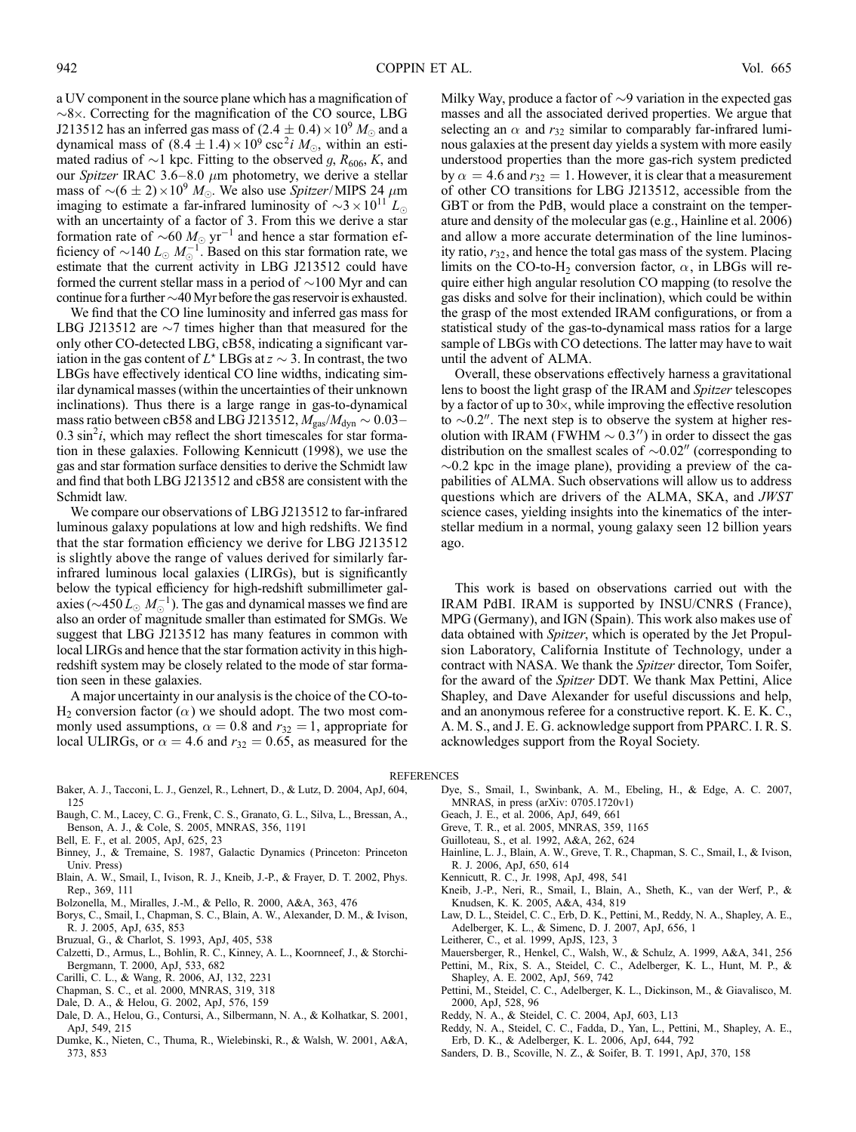a UV component in the source plane which has a magnification of  $\sim$ 8 $\times$ . Correcting for the magnification of the CO source, LBG J213512 has an inferred gas mass of (2.4  $\pm$  0.4)  $\times 10^9$   $M_{\odot}$  and a dynamical mass of  $(8.4 \pm 1.4) \times 10^9 \csc^2 i M_{\odot}$ , within an estimated radius of  $\sim$ 1 kpc. Fitting to the observed g,  $R_{606}$ , K, and our Spitzer IRAC 3.6-8.0  $\mu$ m photometry, we derive a stellar mass of  $\sim (6 \pm 2) \times 10^9$   $M_{\odot}$ . We also use *Spitzer*/MIPS 24  $\mu$ m imaging to estimate a far-infrared luminosity of  $\sim$ 3 × 10<sup>11</sup> L<sub>o</sub> with an uncertainty of a factor of 3. From this we derive a star formation rate of  $\sim 60 M_{\odot} \text{ yr}^{-1}$  and hence a star formation efficiency of  $\sim$ 140  $L_{\odot}$   $M_{\odot}^{-1}$ . Based on this star formation rate, we estimate that the current activity in LBG J213512 could have formed the current stellar mass in a period of  $\sim$ 100 Myr and can continue for a further  $\sim40$  Myr before the gas reservoir is exhausted.

We find that the CO line luminosity and inferred gas mass for LBG J213512 are  $\sim$ 7 times higher than that measured for the only other CO-detected LBG, cB58, indicating a significant variation in the gas content of  $L^*$  LBGs at  $z \sim 3$ . In contrast, the two LBGs have effectively identical CO line widths, indicating similar dynamical masses (within the uncertainties of their unknown inclinations). Thus there is a large range in gas-to-dynamical mass ratio between cB58 and LBG J213512,  $M_{\text{gas}}/M_{\text{dyn}} \sim 0.03$  $0.3 \sin^2 i$ , which may reflect the short timescales for star formation in these galaxies. Following Kennicutt (1998), we use the gas and star formation surface densities to derive the Schmidt law and find that both LBG J213512 and cB58 are consistent with the Schmidt law.

We compare our observations of LBG J213512 to far-infrared luminous galaxy populations at low and high redshifts. We find that the star formation efficiency we derive for LBG J213512 is slightly above the range of values derived for similarly farinfrared luminous local galaxies (LIRGs), but is significantly below the typical efficiency for high-redshift submillimeter galaxies ( $\sim$ 450  $L_{\odot}$   $M_{\odot}^{-1}$ ). The gas and dynamical masses we find are also an order of magnitude smaller than estimated for SMGs. We suggest that LBG J213512 has many features in common with local LIRGs and hence that the star formation activity in this highredshift system may be closely related to the mode of star formation seen in these galaxies.

A major uncertainty in our analysis is the choice of the CO-to- $H_2$  conversion factor ( $\alpha$ ) we should adopt. The two most commonly used assumptions,  $\alpha = 0.8$  and  $r_{32} = 1$ , appropriate for local ULIRGs, or  $\alpha = 4.6$  and  $r_{32} = 0.65$ , as measured for the Milky Way, produce a factor of  $\sim$ 9 variation in the expected gas masses and all the associated derived properties. We argue that selecting an  $\alpha$  and  $r_{32}$  similar to comparably far-infrared luminous galaxies at the present day yields a system with more easily understood properties than the more gas-rich system predicted by  $\alpha = 4.6$  and  $r_{32} = 1$ . However, it is clear that a measurement of other CO transitions for LBG J213512, accessible from the GBT or from the PdB, would place a constraint on the temperature and density of the molecular gas (e.g., Hainline et al. 2006) and allow a more accurate determination of the line luminosity ratio,  $r_{32}$ , and hence the total gas mass of the system. Placing limits on the CO-to-H<sub>2</sub> conversion factor,  $\alpha$ , in LBGs will require either high angular resolution CO mapping (to resolve the gas disks and solve for their inclination), which could be within the grasp of the most extended IRAM configurations, or from a statistical study of the gas-to-dynamical mass ratios for a large sample of LBGs with CO detections. The latter may have to wait until the advent of ALMA.

Overall, these observations effectively harness a gravitational lens to boost the light grasp of the IRAM and Spitzer telescopes by a factor of up to  $30\times$ , while improving the effective resolution to  $\sim 0.2$ ". The next step is to observe the system at higher resolution with IRAM (FWHM  $\sim 0.3''$ ) in order to dissect the gas distribution on the smallest scales of  $\sim 0.02$ <sup>n</sup> (corresponding to  $\sim$ 0.2 kpc in the image plane), providing a preview of the capabilities of ALMA. Such observations will allow us to address questions which are drivers of the ALMA, SKA, and JWST science cases, yielding insights into the kinematics of the interstellar medium in a normal, young galaxy seen 12 billion years ago.

This work is based on observations carried out with the IRAM PdBI. IRAM is supported by INSU/CNRS (France), MPG (Germany), and IGN (Spain). This work also makes use of data obtained with Spitzer, which is operated by the Jet Propulsion Laboratory, California Institute of Technology, under a contract with NASA. We thank the Spitzer director, Tom Soifer, for the award of the Spitzer DDT. We thank Max Pettini, Alice Shapley, and Dave Alexander for useful discussions and help, and an anonymous referee for a constructive report. K. E. K. C., A. M. S., and J. E. G. acknowledge support from PPARC. I. R. S. acknowledges support from the Royal Society.

REFERENCES

- Baker, A. J., Tacconi, L. J., Genzel, R., Lehnert, D., & Lutz, D. 2004, ApJ, 604, 125
- Baugh, C. M., Lacey, C. G., Frenk, C. S., Granato, G. L., Silva, L., Bressan, A., Benson, A. J., & Cole, S. 2005, MNRAS, 356, 1191
- Bell, E. F., et al. 2005, ApJ, 625, 23
- Binney, J., & Tremaine, S. 1987, Galactic Dynamics ( Princeton: Princeton Univ. Press)
- Blain, A. W., Smail, I., Ivison, R. J., Kneib, J.-P., & Frayer, D. T. 2002, Phys. Rep., 369, 111
- Bolzonella, M., Miralles, J.-M., & Pello, R. 2000, A&A, 363, 476
- Borys, C., Smail, I., Chapman, S. C., Blain, A. W., Alexander, D. M., & Ivison, R. J. 2005, ApJ, 635, 853
- Bruzual, G., & Charlot, S. 1993, ApJ, 405, 538
- Calzetti, D., Armus, L., Bohlin, R. C., Kinney, A. L., Koornneef, J., & Storchi-Bergmann, T. 2000, ApJ, 533, 682
- Carilli, C. L., & Wang, R. 2006, AJ, 132, 2231
- Chapman, S. C., et al. 2000, MNRAS, 319, 318
- Dale, D. A., & Helou, G. 2002, ApJ, 576, 159
- Dale, D. A., Helou, G., Contursi, A., Silbermann, N. A., & Kolhatkar, S. 2001, ApJ, 549, 215
- Dumke, K., Nieten, C., Thuma, R., Wielebinski, R., & Walsh, W. 2001, A&A, 373, 853
- Dye, S., Smail, I., Swinbank, A. M., Ebeling, H., & Edge, A. C. 2007, MNRAS, in press (arXiv: 0705.1720v1)
- Geach, J. E., et al. 2006, ApJ, 649, 661
- Greve, T. R., et al. 2005, MNRAS, 359, 1165
- Guilloteau, S., et al. 1992, A&A, 262, 624
- Hainline, L. J., Blain, A. W., Greve, T. R., Chapman, S. C., Smail, I., & Ivison, R. J. 2006, ApJ, 650, 614
- Kennicutt, R. C., Jr. 1998, ApJ, 498, 541
- Kneib, J.-P., Neri, R., Smail, I., Blain, A., Sheth, K., van der Werf, P., & Knudsen, K. K. 2005, A&A, 434, 819
- Law, D. L., Steidel, C. C., Erb, D. K., Pettini, M., Reddy, N. A., Shapley, A. E., Adelberger, K. L., & Simenc, D. J. 2007, ApJ, 656, 1
- Leitherer, C., et al. 1999, ApJS, 123, 3
- Mauersberger, R., Henkel, C., Walsh, W., & Schulz, A. 1999, A&A, 341, 256
- Pettini, M., Rix, S. A., Steidel, C. C., Adelberger, K. L., Hunt, M. P., & Shapley, A. E. 2002, ApJ, 569, 742
- Pettini, M., Steidel, C. C., Adelberger, K. L., Dickinson, M., & Giavalisco, M. 2000, ApJ, 528, 96
- Reddy, N. A., & Steidel, C. C. 2004, ApJ, 603, L13
- Reddy, N. A., Steidel, C. C., Fadda, D., Yan, L., Pettini, M., Shapley, A. E., Erb, D. K., & Adelberger, K. L. 2006, ApJ, 644, 792
- Sanders, D. B., Scoville, N. Z., & Soifer, B. T. 1991, ApJ, 370, 158